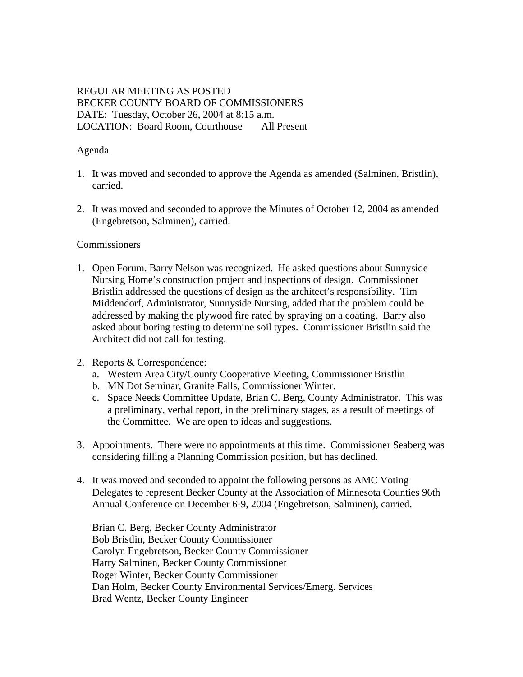# REGULAR MEETING AS POSTED BECKER COUNTY BOARD OF COMMISSIONERS DATE: Tuesday, October 26, 2004 at 8:15 a.m. LOCATION: Board Room, Courthouse All Present

### Agenda

- 1. It was moved and seconded to approve the Agenda as amended (Salminen, Bristlin), carried.
- 2. It was moved and seconded to approve the Minutes of October 12, 2004 as amended (Engebretson, Salminen), carried.

### **Commissioners**

1. Open Forum. Barry Nelson was recognized. He asked questions about Sunnyside Nursing Home's construction project and inspections of design. Commissioner Bristlin addressed the questions of design as the architect's responsibility. Tim Middendorf, Administrator, Sunnyside Nursing, added that the problem could be addressed by making the plywood fire rated by spraying on a coating. Barry also asked about boring testing to determine soil types. Commissioner Bristlin said the Architect did not call for testing.

### 2. Reports & Correspondence:

- a. Western Area City/County Cooperative Meeting, Commissioner Bristlin
- b. MN Dot Seminar, Granite Falls, Commissioner Winter.
- c. Space Needs Committee Update, Brian C. Berg, County Administrator. This was a preliminary, verbal report, in the preliminary stages, as a result of meetings of the Committee. We are open to ideas and suggestions.
- 3. Appointments. There were no appointments at this time. Commissioner Seaberg was considering filling a Planning Commission position, but has declined.
- 4. It was moved and seconded to appoint the following persons as AMC Voting Delegates to represent Becker County at the Association of Minnesota Counties 96th Annual Conference on December 6-9, 2004 (Engebretson, Salminen), carried.

Brian C. Berg, Becker County Administrator Bob Bristlin, Becker County Commissioner Carolyn Engebretson, Becker County Commissioner Harry Salminen, Becker County Commissioner Roger Winter, Becker County Commissioner Dan Holm, Becker County Environmental Services/Emerg. Services Brad Wentz, Becker County Engineer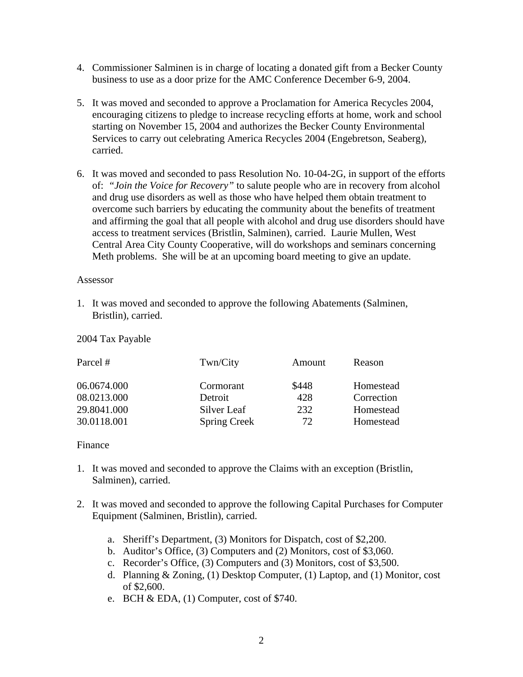- 4. Commissioner Salminen is in charge of locating a donated gift from a Becker County business to use as a door prize for the AMC Conference December 6-9, 2004.
- 5. It was moved and seconded to approve a Proclamation for America Recycles 2004, encouraging citizens to pledge to increase recycling efforts at home, work and school starting on November 15, 2004 and authorizes the Becker County Environmental Services to carry out celebrating America Recycles 2004 (Engebretson, Seaberg), carried.
- 6. It was moved and seconded to pass Resolution No. 10-04-2G, in support of the efforts of: *"Join the Voice for Recovery"* to salute people who are in recovery from alcohol and drug use disorders as well as those who have helped them obtain treatment to overcome such barriers by educating the community about the benefits of treatment and affirming the goal that all people with alcohol and drug use disorders should have access to treatment services (Bristlin, Salminen), carried. Laurie Mullen, West Central Area City County Cooperative, will do workshops and seminars concerning Meth problems. She will be at an upcoming board meeting to give an update.

#### Assessor

1. It was moved and seconded to approve the following Abatements (Salminen, Bristlin), carried.

2004 Tax Payable

| Twn/City            | Amount | Reason     |
|---------------------|--------|------------|
| Cormorant           | \$448  | Homestead  |
| Detroit             | 428    | Correction |
| Silver Leaf         | 232    | Homestead  |
| <b>Spring Creek</b> | 72     | Homestead  |
|                     |        |            |

### Finance

- 1. It was moved and seconded to approve the Claims with an exception (Bristlin, Salminen), carried.
- 2. It was moved and seconded to approve the following Capital Purchases for Computer Equipment (Salminen, Bristlin), carried.
	- a. Sheriff's Department, (3) Monitors for Dispatch, cost of \$2,200.
	- b. Auditor's Office, (3) Computers and (2) Monitors, cost of \$3,060.
	- c. Recorder's Office, (3) Computers and (3) Monitors, cost of \$3,500.
	- d. Planning & Zoning, (1) Desktop Computer, (1) Laptop, and (1) Monitor, cost of \$2,600.
	- e. BCH & EDA, (1) Computer, cost of \$740.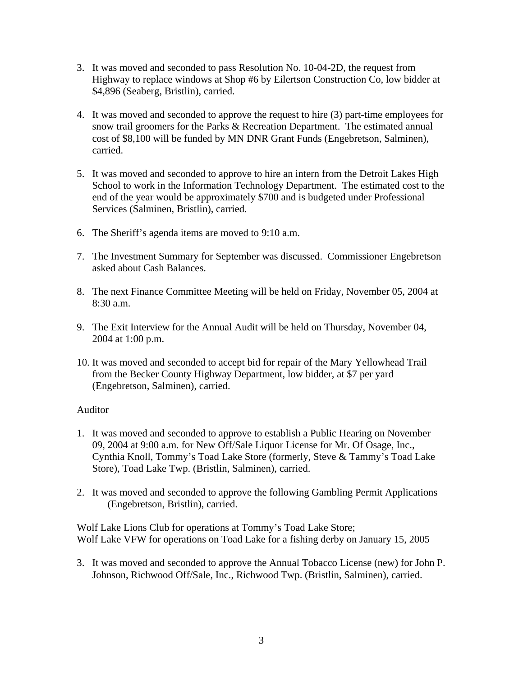- 3. It was moved and seconded to pass Resolution No. 10-04-2D, the request from Highway to replace windows at Shop #6 by Eilertson Construction Co, low bidder at \$4,896 (Seaberg, Bristlin), carried.
- 4. It was moved and seconded to approve the request to hire (3) part-time employees for snow trail groomers for the Parks & Recreation Department. The estimated annual cost of \$8,100 will be funded by MN DNR Grant Funds (Engebretson, Salminen), carried.
- 5. It was moved and seconded to approve to hire an intern from the Detroit Lakes High School to work in the Information Technology Department. The estimated cost to the end of the year would be approximately \$700 and is budgeted under Professional Services (Salminen, Bristlin), carried.
- 6. The Sheriff's agenda items are moved to 9:10 a.m.
- 7. The Investment Summary for September was discussed. Commissioner Engebretson asked about Cash Balances.
- 8. The next Finance Committee Meeting will be held on Friday, November 05, 2004 at 8:30 a.m.
- 9. The Exit Interview for the Annual Audit will be held on Thursday, November 04, 2004 at 1:00 p.m.
- 10. It was moved and seconded to accept bid for repair of the Mary Yellowhead Trail from the Becker County Highway Department, low bidder, at \$7 per yard (Engebretson, Salminen), carried.

# Auditor

- 1. It was moved and seconded to approve to establish a Public Hearing on November 09, 2004 at 9:00 a.m. for New Off/Sale Liquor License for Mr. Of Osage, Inc., Cynthia Knoll, Tommy's Toad Lake Store (formerly, Steve & Tammy's Toad Lake Store), Toad Lake Twp. (Bristlin, Salminen), carried.
- 2. It was moved and seconded to approve the following Gambling Permit Applications (Engebretson, Bristlin), carried.

Wolf Lake Lions Club for operations at Tommy's Toad Lake Store; Wolf Lake VFW for operations on Toad Lake for a fishing derby on January 15, 2005

3. It was moved and seconded to approve the Annual Tobacco License (new) for John P. Johnson, Richwood Off/Sale, Inc., Richwood Twp. (Bristlin, Salminen), carried.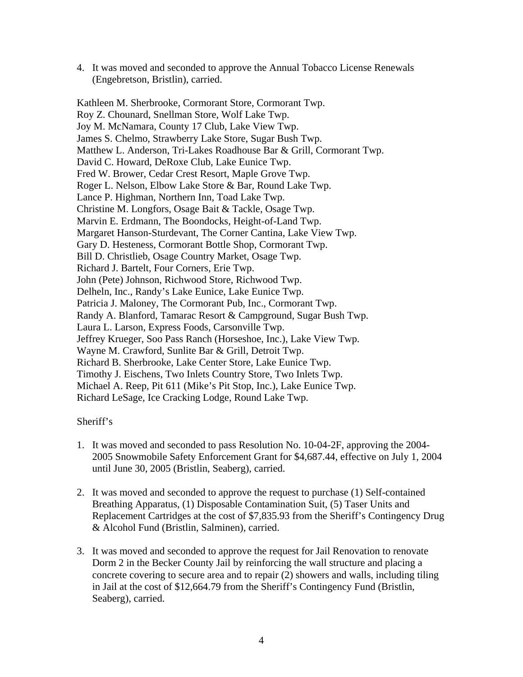4. It was moved and seconded to approve the Annual Tobacco License Renewals (Engebretson, Bristlin), carried.

Kathleen M. Sherbrooke, Cormorant Store, Cormorant Twp. Roy Z. Chounard, Snellman Store, Wolf Lake Twp. Joy M. McNamara, County 17 Club, Lake View Twp. James S. Chelmo, Strawberry Lake Store, Sugar Bush Twp. Matthew L. Anderson, Tri-Lakes Roadhouse Bar & Grill, Cormorant Twp. David C. Howard, DeRoxe Club, Lake Eunice Twp. Fred W. Brower, Cedar Crest Resort, Maple Grove Twp. Roger L. Nelson, Elbow Lake Store & Bar, Round Lake Twp. Lance P. Highman, Northern Inn, Toad Lake Twp. Christine M. Longfors, Osage Bait & Tackle, Osage Twp. Marvin E. Erdmann, The Boondocks, Height-of-Land Twp. Margaret Hanson-Sturdevant, The Corner Cantina, Lake View Twp. Gary D. Hesteness, Cormorant Bottle Shop, Cormorant Twp. Bill D. Christlieb, Osage Country Market, Osage Twp. Richard J. Bartelt, Four Corners, Erie Twp. John (Pete) Johnson, Richwood Store, Richwood Twp. Delheln, Inc., Randy's Lake Eunice, Lake Eunice Twp. Patricia J. Maloney, The Cormorant Pub, Inc., Cormorant Twp. Randy A. Blanford, Tamarac Resort & Campground, Sugar Bush Twp. Laura L. Larson, Express Foods, Carsonville Twp. Jeffrey Krueger, Soo Pass Ranch (Horseshoe, Inc.), Lake View Twp. Wayne M. Crawford, Sunlite Bar & Grill, Detroit Twp. Richard B. Sherbrooke, Lake Center Store, Lake Eunice Twp. Timothy J. Eischens, Two Inlets Country Store, Two Inlets Twp. Michael A. Reep, Pit 611 (Mike's Pit Stop, Inc.), Lake Eunice Twp. Richard LeSage, Ice Cracking Lodge, Round Lake Twp.

### Sheriff's

- 1. It was moved and seconded to pass Resolution No. 10-04-2F, approving the 2004- 2005 Snowmobile Safety Enforcement Grant for \$4,687.44, effective on July 1, 2004 until June 30, 2005 (Bristlin, Seaberg), carried.
- 2. It was moved and seconded to approve the request to purchase (1) Self-contained Breathing Apparatus, (1) Disposable Contamination Suit, (5) Taser Units and Replacement Cartridges at the cost of \$7,835.93 from the Sheriff's Contingency Drug & Alcohol Fund (Bristlin, Salminen), carried.
- 3. It was moved and seconded to approve the request for Jail Renovation to renovate Dorm 2 in the Becker County Jail by reinforcing the wall structure and placing a concrete covering to secure area and to repair (2) showers and walls, including tiling in Jail at the cost of \$12,664.79 from the Sheriff's Contingency Fund (Bristlin, Seaberg), carried.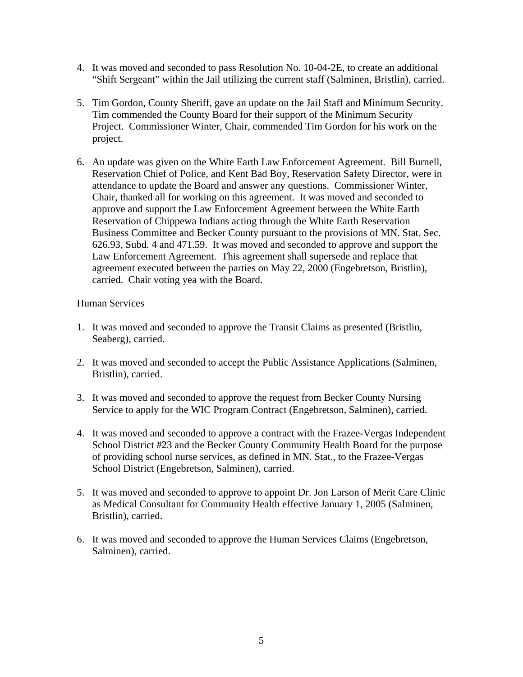- 4. It was moved and seconded to pass Resolution No. 10-04-2E, to create an additional "Shift Sergeant" within the Jail utilizing the current staff (Salminen, Bristlin), carried.
- 5. Tim Gordon, County Sheriff, gave an update on the Jail Staff and Minimum Security. Tim commended the County Board for their support of the Minimum Security Project. Commissioner Winter, Chair, commended Tim Gordon for his work on the project.
- 6. An update was given on the White Earth Law Enforcement Agreement. Bill Burnell, Reservation Chief of Police, and Kent Bad Boy, Reservation Safety Director, were in attendance to update the Board and answer any questions. Commissioner Winter, Chair, thanked all for working on this agreement. It was moved and seconded to approve and support the Law Enforcement Agreement between the White Earth Reservation of Chippewa Indians acting through the White Earth Reservation Business Committee and Becker County pursuant to the provisions of MN. Stat. Sec. 626.93, Subd. 4 and 471.59. It was moved and seconded to approve and support the Law Enforcement Agreement. This agreement shall supersede and replace that agreement executed between the parties on May 22, 2000 (Engebretson, Bristlin), carried. Chair voting yea with the Board.

### Human Services

- 1. It was moved and seconded to approve the Transit Claims as presented (Bristlin, Seaberg), carried.
- 2. It was moved and seconded to accept the Public Assistance Applications (Salminen, Bristlin), carried.
- 3. It was moved and seconded to approve the request from Becker County Nursing Service to apply for the WIC Program Contract (Engebretson, Salminen), carried.
- 4. It was moved and seconded to approve a contract with the Frazee-Vergas Independent School District #23 and the Becker County Community Health Board for the purpose of providing school nurse services, as defined in MN. Stat., to the Frazee-Vergas School District (Engebretson, Salminen), carried.
- 5. It was moved and seconded to approve to appoint Dr. Jon Larson of Merit Care Clinic as Medical Consultant for Community Health effective January 1, 2005 (Salminen, Bristlin), carried.
- 6. It was moved and seconded to approve the Human Services Claims (Engebretson, Salminen), carried.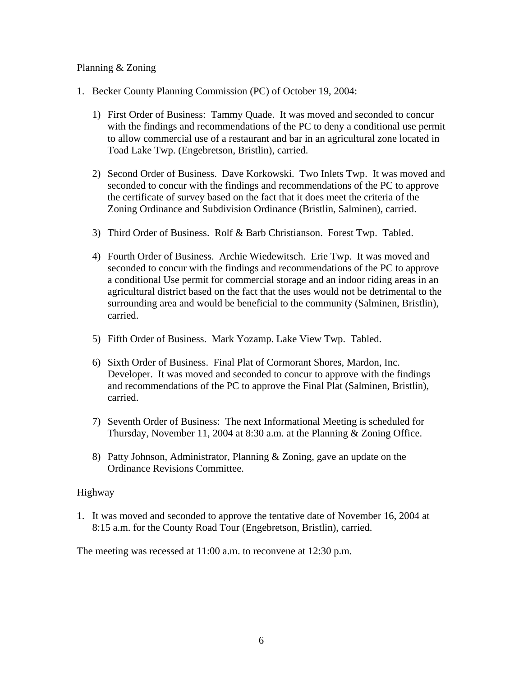### Planning & Zoning

- 1. Becker County Planning Commission (PC) of October 19, 2004:
	- 1) First Order of Business: Tammy Quade. It was moved and seconded to concur with the findings and recommendations of the PC to deny a conditional use permit to allow commercial use of a restaurant and bar in an agricultural zone located in Toad Lake Twp. (Engebretson, Bristlin), carried.
	- 2) Second Order of Business. Dave Korkowski. Two Inlets Twp. It was moved and seconded to concur with the findings and recommendations of the PC to approve the certificate of survey based on the fact that it does meet the criteria of the Zoning Ordinance and Subdivision Ordinance (Bristlin, Salminen), carried.
	- 3) Third Order of Business. Rolf & Barb Christianson. Forest Twp. Tabled.
	- 4) Fourth Order of Business. Archie Wiedewitsch. Erie Twp. It was moved and seconded to concur with the findings and recommendations of the PC to approve a conditional Use permit for commercial storage and an indoor riding areas in an agricultural district based on the fact that the uses would not be detrimental to the surrounding area and would be beneficial to the community (Salminen, Bristlin), carried.
	- 5) Fifth Order of Business. Mark Yozamp. Lake View Twp. Tabled.
	- 6) Sixth Order of Business. Final Plat of Cormorant Shores, Mardon, Inc. Developer. It was moved and seconded to concur to approve with the findings and recommendations of the PC to approve the Final Plat (Salminen, Bristlin), carried.
	- 7) Seventh Order of Business: The next Informational Meeting is scheduled for Thursday, November 11, 2004 at 8:30 a.m. at the Planning & Zoning Office.
	- 8) Patty Johnson, Administrator, Planning & Zoning, gave an update on the Ordinance Revisions Committee.

### Highway

1. It was moved and seconded to approve the tentative date of November 16, 2004 at 8:15 a.m. for the County Road Tour (Engebretson, Bristlin), carried.

The meeting was recessed at 11:00 a.m. to reconvene at 12:30 p.m.